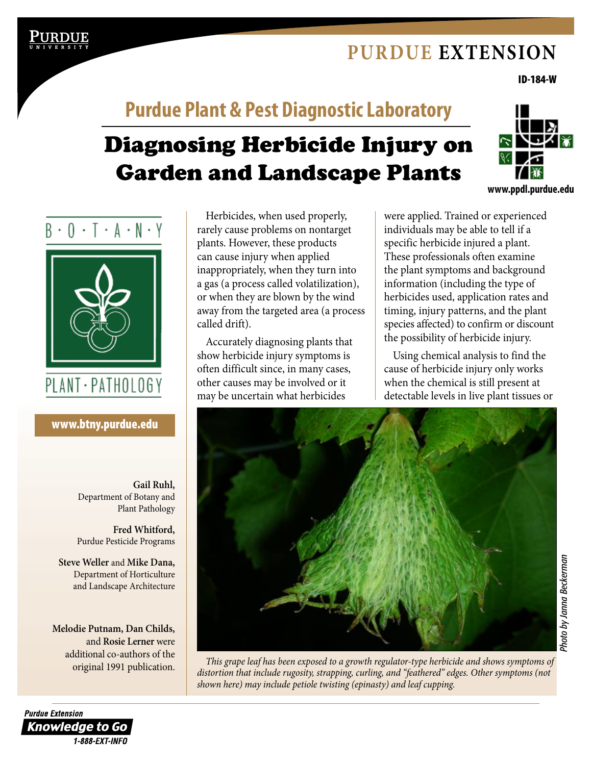# **[Purdue Extension](http://www.extension.purdue.edu)**

ID-184-W

# Diagnosing Herbicide Injury on **Purdue Plant & Pest Diagnostic Laboratory**



 $B \cdot 0 \cdot 1 \cdot A \cdot N \cdot Y$ 

# PLANT · PATHOLOGY

[www.btny.purdue.edu](http://www.btny.purdue.edu)

**Gail Ruhl,** Department of Botany and Plant Pathology

**Fred Whitford,** Purdue Pesticide Programs

**Steve Weller** and **Mike Dana,** Department of Horticulture and Landscape Architecture

**Melodie Putnam, Dan Childs,** and **Rosie Lerner** were additional co-authors of the

Herbicides, when used properly, rarely cause problems on nontarget plants. However, these products can cause injury when applied inappropriately, when they turn into a gas (a process called volatilization), or when they are blown by the wind away from the targeted area (a process called drift).

Garden and Landscape Plants

Accurately diagnosing plants that show herbicide injury symptoms is often difficult since, in many cases, other causes may be involved or it may be uncertain what herbicides

were applied. Trained or experienced individuals may be able to tell if a specific herbicide injured a plant. These professionals often examine the plant symptoms and background information (including the type of herbicides used, application rates and timing, injury patterns, and the plant species affected) to confirm or discount the possibility of herbicide injury.

Using chemical analysis to find the cause of herbicide injury only works when the chemical is still present at detectable levels in live plant tissues or



original 1991 publication. *This grape leaf has been exposed to a growth regulator-type herbicide and shows symptoms of distortion that include rugosity, strapping, curling, and "feathered" edges. Other symptoms (not shown here) may include petiole twisting (epinasty) and leaf cupping.*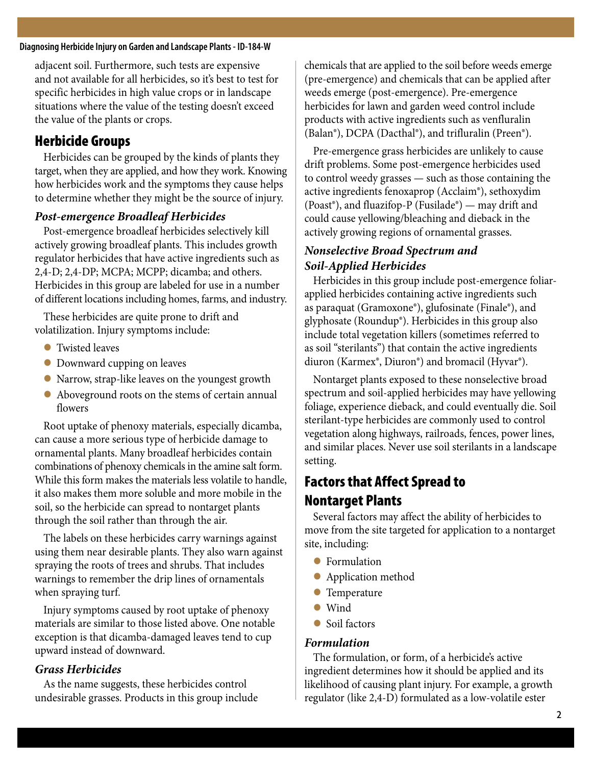#### **Diagnosing Herbicide Injury on Garden and Landscape Plants - ID-184-W**

adjacent soil. Furthermore, such tests are expensive and not available for all herbicides, so it's best to test for specific herbicides in high value crops or in landscape situations where the value of the testing doesn't exceed the value of the plants or crops.

# Herbicide Groups

Herbicides can be grouped by the kinds of plants they target, when they are applied, and how they work. Knowing how herbicides work and the symptoms they cause helps to determine whether they might be the source of injury.

#### *Post-emergence Broadleaf Herbicides*

Post-emergence broadleaf herbicides selectively kill actively growing broadleaf plants. This includes growth regulator herbicides that have active ingredients such as 2,4-D; 2,4-DP; MCPA; MCPP; dicamba; and others. Herbicides in this group are labeled for use in a number of different locations including homes, farms, and industry.

These herbicides are quite prone to drift and volatilization. Injury symptoms include:

- **•** Twisted leaves
- **•** Downward cupping on leaves
- Narrow, strap-like leaves on the youngest growth
- Aboveground roots on the stems of certain annual flowers

Root uptake of phenoxy materials, especially dicamba, can cause a more serious type of herbicide damage to ornamental plants. Many broadleaf herbicides contain combinations of phenoxy chemicals in the amine salt form. While this form makes the materials less volatile to handle, it also makes them more soluble and more mobile in the soil, so the herbicide can spread to nontarget plants through the soil rather than through the air.

The labels on these herbicides carry warnings against using them near desirable plants. They also warn against spraying the roots of trees and shrubs. That includes warnings to remember the drip lines of ornamentals when spraying turf.

Injury symptoms caused by root uptake of phenoxy materials are similar to those listed above. One notable exception is that dicamba-damaged leaves tend to cup upward instead of downward.

#### *Grass Herbicides*

As the name suggests, these herbicides control undesirable grasses. Products in this group include chemicals that are applied to the soil before weeds emerge (pre-emergence) and chemicals that can be applied after weeds emerge (post-emergence). Pre-emergence herbicides for lawn and garden weed control include products with active ingredients such as venfluralin (Balan®), DCPA (Dacthal®), and trifluralin (Preen®).

Pre-emergence grass herbicides are unlikely to cause drift problems. Some post-emergence herbicides used to control weedy grasses — such as those containing the active ingredients fenoxaprop (Acclaim®), sethoxydim (Poast<sup>®</sup>), and fluazifop-P (Fusilade<sup>®</sup>) — may drift and could cause yellowing/bleaching and dieback in the actively growing regions of ornamental grasses.

### *Nonselective Broad Spectrum and Soil-Applied Herbicides*

Herbicides in this group include post-emergence foliarapplied herbicides containing active ingredients such as paraquat (Gramoxone®), glufosinate (Finale®), and glyphosate (Roundup®). Herbicides in this group also include total vegetation killers (sometimes referred to as soil "sterilants") that contain the active ingredients diuron (Karmex®, Diuron®) and bromacil (Hyvar®).

Nontarget plants exposed to these nonselective broad spectrum and soil-applied herbicides may have yellowing foliage, experience dieback, and could eventually die. Soil sterilant-type herbicides are commonly used to control vegetation along highways, railroads, fences, power lines, and similar places. Never use soil sterilants in a landscape setting.

# Factors that Affect Spread to Nontarget Plants

Several factors may affect the ability of herbicides to move from the site targeted for application to a nontarget site, including:

- **•** Formulation
- **•** Application method
- **C** Temperature
- $\bullet$  Wind
- Soil factors

#### *Formulation*

The formulation, or form, of a herbicide's active ingredient determines how it should be applied and its likelihood of causing plant injury. For example, a growth regulator (like 2,4-D) formulated as a low-volatile ester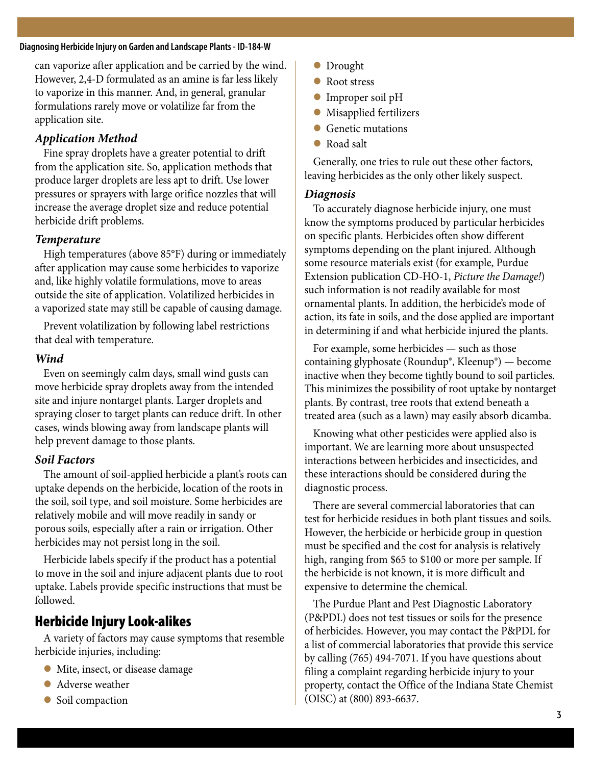#### **Diagnosing Herbicide Injury on Garden and Landscape Plants - ID-184-W**

can vaporize after application and be carried by the wind. However, 2,4-D formulated as an amine is far less likely to vaporize in this manner. And, in general, granular formulations rarely move or volatilize far from the application site.

#### *Application Method*

Fine spray droplets have a greater potential to drift from the application site. So, application methods that produce larger droplets are less apt to drift. Use lower pressures or sprayers with large orifice nozzles that will increase the average droplet size and reduce potential herbicide drift problems.

#### *Temperature*

High temperatures (above 85°F) during or immediately after application may cause some herbicides to vaporize and, like highly volatile formulations, move to areas outside the site of application. Volatilized herbicides in a vaporized state may still be capable of causing damage.

Prevent volatilization by following label restrictions that deal with temperature.

#### *Wind*

Even on seemingly calm days, small wind gusts can move herbicide spray droplets away from the intended site and injure nontarget plants. Larger droplets and spraying closer to target plants can reduce drift. In other cases, winds blowing away from landscape plants will help prevent damage to those plants.

#### *Soil Factors*

The amount of soil-applied herbicide a plant's roots can uptake depends on the herbicide, location of the roots in the soil, soil type, and soil moisture. Some herbicides are relatively mobile and will move readily in sandy or porous soils, especially after a rain or irrigation. Other herbicides may not persist long in the soil.

Herbicide labels specify if the product has a potential to move in the soil and injure adjacent plants due to root uptake. Labels provide specific instructions that must be followed.

# Herbicide Injury Look-alikes

A variety of factors may cause symptoms that resemble herbicide injuries, including:

- **In Mite, insect, or disease damage**
- Adverse weather
- **Soil compaction**
- **IDrought**
- Root stress
- Improper soil pH
- **In Misapplied fertilizers**
- l Genetic mutations
- **Road salt**

Generally, one tries to rule out these other factors, leaving herbicides as the only other likely suspect.

#### *Diagnosis*

To accurately diagnose herbicide injury, one must know the symptoms produced by particular herbicides on specific plants. Herbicides often show different symptoms depending on the plant injured. Although some resource materials exist (for example, Purdue Extension publication CD-HO-1, *Picture the Damage!*) such information is not readily available for most ornamental plants. In addition, the herbicide's mode of action, its fate in soils, and the dose applied are important in determining if and what herbicide injured the plants.

For example, some herbicides — such as those containing glyphosate (Roundup®, Kleenup®) — become inactive when they become tightly bound to soil particles. This minimizes the possibility of root uptake by nontarget plants. By contrast, tree roots that extend beneath a treated area (such as a lawn) may easily absorb dicamba.

Knowing what other pesticides were applied also is important. We are learning more about unsuspected interactions between herbicides and insecticides, and these interactions should be considered during the diagnostic process.

There are several commercial laboratories that can test for herbicide residues in both plant tissues and soils. However, the herbicide or herbicide group in question must be specified and the cost for analysis is relatively high, ranging from \$65 to \$100 or more per sample. If the herbicide is not known, it is more difficult and expensive to determine the chemical.

The Purdue Plant and Pest Diagnostic Laboratory (P&PDL) does not test tissues or soils for the presence of herbicides. However, you may contact the P&PDL for a list of commercial laboratories that provide this service by calling (765) 494-7071. If you have questions about filing a complaint regarding herbicide injury to your property, contact the Office of the Indiana State Chemist (OISC) at (800) 893-6637.